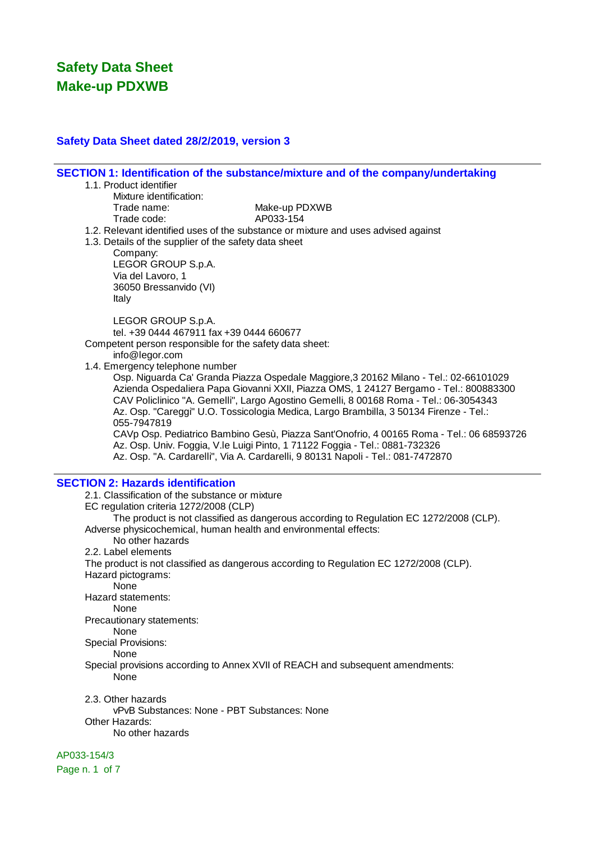### **Safety Data Sheet dated 28/2/2019, version 3**

### **SECTION 1: Identification of the substance/mixture and of the company/undertaking**

1.1. Product identifier

Mixture identification:

Trade name: Make-up PDXWB Trade code: AP033-154

- 1.2. Relevant identified uses of the substance or mixture and uses advised against
- 1.3. Details of the supplier of the safety data sheet

Company: LEGOR GROUP S.p.A. Via del Lavoro, 1 36050 Bressanvido (VI) Italy

LEGOR GROUP S.p.A.

tel. +39 0444 467911 fax +39 0444 660677

Competent person responsible for the safety data sheet:

- info@legor.com
- 1.4. Emergency telephone number

Osp. Niguarda Ca' Granda Piazza Ospedale Maggiore,3 20162 Milano - Tel.: 02-66101029 Azienda Ospedaliera Papa Giovanni XXII, Piazza OMS, 1 24127 Bergamo - Tel.: 800883300 CAV Policlinico "A. Gemelli", Largo Agostino Gemelli, 8 00168 Roma - Tel.: 06-3054343 Az. Osp. "Careggi" U.O. Tossicologia Medica, Largo Brambilla, 3 50134 Firenze - Tel.: 055-7947819

CAVp Osp. Pediatrico Bambino Gesù, Piazza Sant'Onofrio, 4 00165 Roma - Tel.: 06 68593726 Az. Osp. Univ. Foggia, V.le Luigi Pinto, 1 71122 Foggia - Tel.: 0881-732326 Az. Osp. "A. Cardarelli", Via A. Cardarelli, 9 80131 Napoli - Tel.: 081-7472870

### **SECTION 2: Hazards identification**

2.1. Classification of the substance or mixture EC regulation criteria 1272/2008 (CLP) The product is not classified as dangerous according to Regulation EC 1272/2008 (CLP). Adverse physicochemical, human health and environmental effects: No other hazards 2.2. Label elements The product is not classified as dangerous according to Regulation EC 1272/2008 (CLP). Hazard pictograms: None Hazard statements: None Precautionary statements: None Special Provisions: None Special provisions according to Annex XVII of REACH and subsequent amendments: None 2.3. Other hazards vPvB Substances: None - PBT Substances: None Other Hazards: No other hazards AP033-154/3

Page n. 1 of 7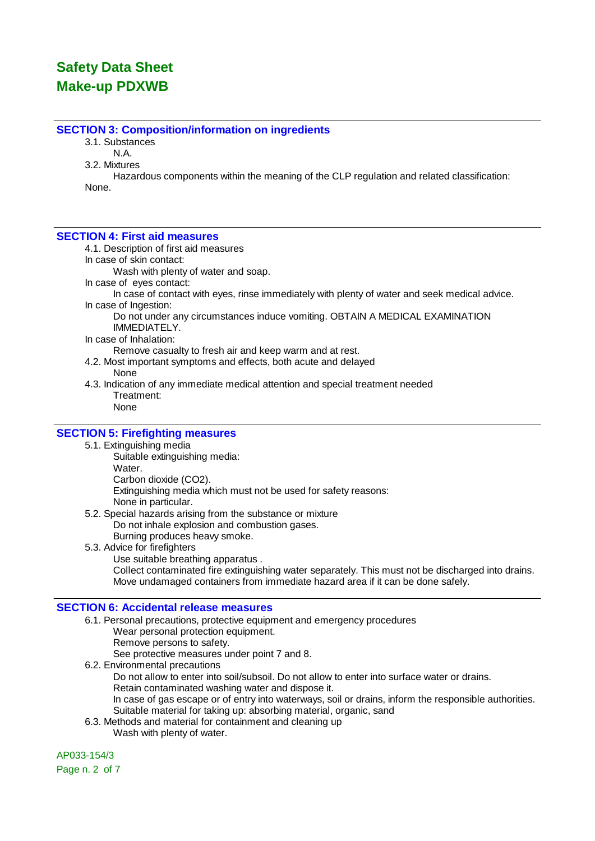### **SECTION 3: Composition/information on ingredients**

3.1. Substances

N.A.

3.2. Mixtures

Hazardous components within the meaning of the CLP regulation and related classification: None.

### **SECTION 4: First aid measures**

4.1. Description of first aid measures

In case of skin contact:

Wash with plenty of water and soap.

In case of eyes contact:

In case of contact with eyes, rinse immediately with plenty of water and seek medical advice. In case of Ingestion:

Do not under any circumstances induce vomiting. OBTAIN A MEDICAL EXAMINATION IMMEDIATELY.

In case of Inhalation:

Remove casualty to fresh air and keep warm and at rest.

4.2. Most important symptoms and effects, both acute and delayed

#### None

4.3. Indication of any immediate medical attention and special treatment needed Treatment: None

### **SECTION 5: Firefighting measures**

- 5.1. Extinguishing media
	- Suitable extinguishing media: Water. Carbon dioxide (CO2).

Extinguishing media which must not be used for safety reasons: None in particular.

- 5.2. Special hazards arising from the substance or mixture Do not inhale explosion and combustion gases. Burning produces heavy smoke.
- 5.3. Advice for firefighters Use suitable breathing apparatus . Collect contaminated fire extinguishing water separately. This must not be discharged into drains. Move undamaged containers from immediate hazard area if it can be done safely.

### **SECTION 6: Accidental release measures**

6.1. Personal precautions, protective equipment and emergency procedures Wear personal protection equipment. Remove persons to safety. See protective measures under point 7 and 8. 6.2. Environmental precautions Do not allow to enter into soil/subsoil. Do not allow to enter into surface water or drains.

Retain contaminated washing water and dispose it. In case of gas escape or of entry into waterways, soil or drains, inform the responsible authorities. Suitable material for taking up: absorbing material, organic, sand

6.3. Methods and material for containment and cleaning up Wash with plenty of water.

AP033-154/3

Page n. 2 of 7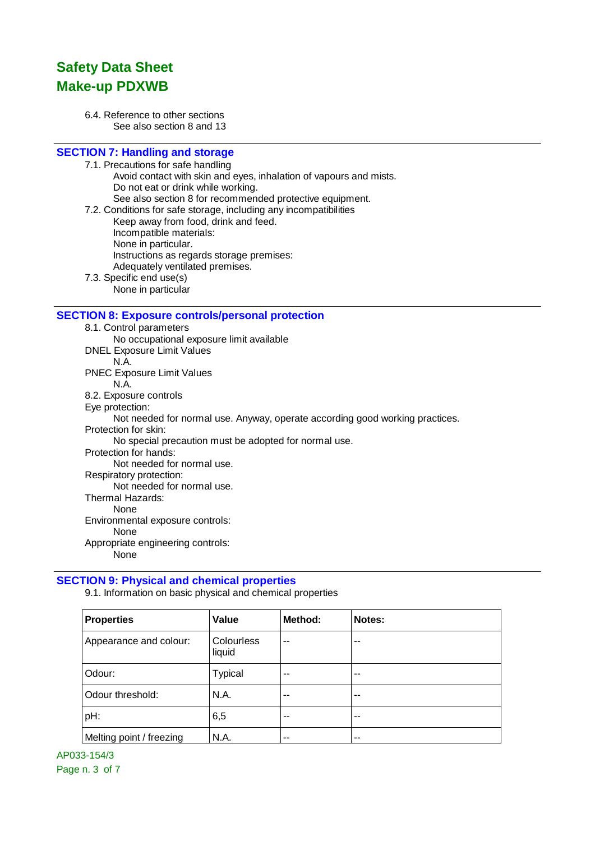6.4. Reference to other sections See also section 8 and 13

## **SECTION 7: Handling and storage**

7.1. Precautions for safe handling Avoid contact with skin and eyes, inhalation of vapours and mists. Do not eat or drink while working. See also section 8 for recommended protective equipment.

7.2. Conditions for safe storage, including any incompatibilities Keep away from food, drink and feed. Incompatible materials: None in particular. Instructions as regards storage premises: Adequately ventilated premises. 7.3. Specific end use(s)

None in particular

### **SECTION 8: Exposure controls/personal protection**

8.1. Control parameters No occupational exposure limit available DNEL Exposure Limit Values N.A. PNEC Exposure Limit Values N.A. 8.2. Exposure controls Eye protection: Not needed for normal use. Anyway, operate according good working practices. Protection for skin: No special precaution must be adopted for normal use. Protection for hands: Not needed for normal use. Respiratory protection: Not needed for normal use. Thermal Hazards: None Environmental exposure controls: None Appropriate engineering controls:

None

### **SECTION 9: Physical and chemical properties**

9.1. Information on basic physical and chemical properties

| <b>Properties</b>        | Value                | Method: | Notes: |
|--------------------------|----------------------|---------|--------|
| Appearance and colour:   | Colourless<br>liquid | $-$     | --     |
| Odour:                   | <b>Typical</b>       | $-$     | --     |
| Odour threshold:         | N.A.                 | $-$     | --     |
| pH:                      | 6,5                  | --      | --     |
| Melting point / freezing | N.A.                 | --      | --     |

AP033-154/3 Page n. 3 of 7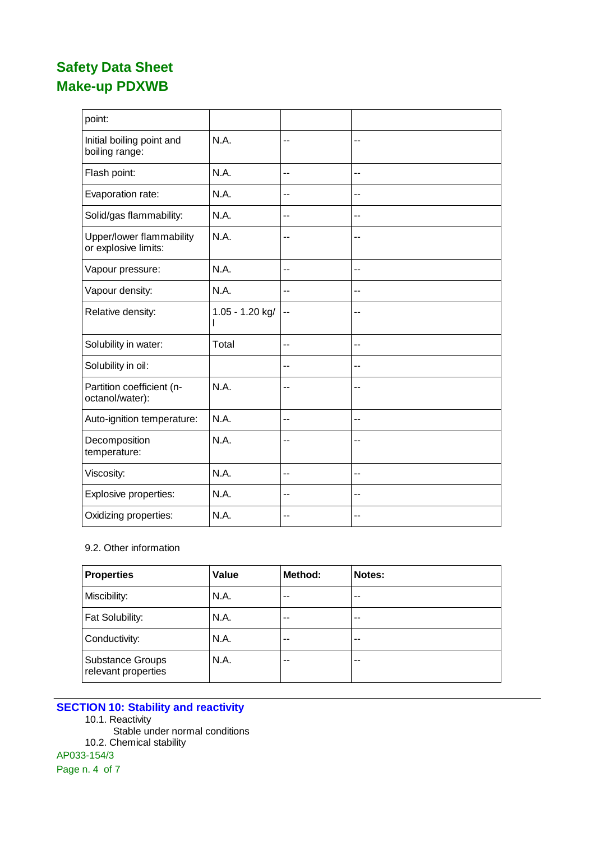| point:                                           |                   |     |     |
|--------------------------------------------------|-------------------|-----|-----|
| Initial boiling point and<br>boiling range:      | N.A.              | --  | --  |
| Flash point:                                     | N.A.              | --  | --  |
| Evaporation rate:                                | N.A.              | --  | $-$ |
| Solid/gas flammability:                          | N.A.              | --  | --  |
| Upper/lower flammability<br>or explosive limits: | N.A.              | --  | --  |
| Vapour pressure:                                 | N.A.              | $-$ | $-$ |
| Vapour density:                                  | N.A.              | $-$ | $-$ |
| Relative density:                                | $1.05 - 1.20$ kg/ | --  | --  |
| Solubility in water:                             | Total             | --  | --  |
| Solubility in oil:                               |                   | --  | --  |
| Partition coefficient (n-<br>octanol/water):     | N.A.              | --  | --  |
| Auto-ignition temperature:                       | N.A.              | --  | --  |
| Decomposition<br>temperature:                    | N.A.              | --  | --  |
| Viscosity:                                       | N.A.              | --  | --  |
| Explosive properties:                            | N.A.              | --  | --  |
| Oxidizing properties:                            | N.A.              | --  | --  |

## 9.2. Other information

| <b>Properties</b>                              | Value | Method: | Notes: |
|------------------------------------------------|-------|---------|--------|
| Miscibility:                                   | N.A.  | $ -$    | $-$    |
| Fat Solubility:                                | N.A.  | --      | $-$    |
| Conductivity:                                  | N.A.  | --      | $-$    |
| <b>Substance Groups</b><br>relevant properties | N.A.  | --      | $-$    |

## **SECTION 10: Stability and reactivity**

10.1. Reactivity

Stable under normal conditions

10.2. Chemical stability

AP033-154/3

Page n. 4 of 7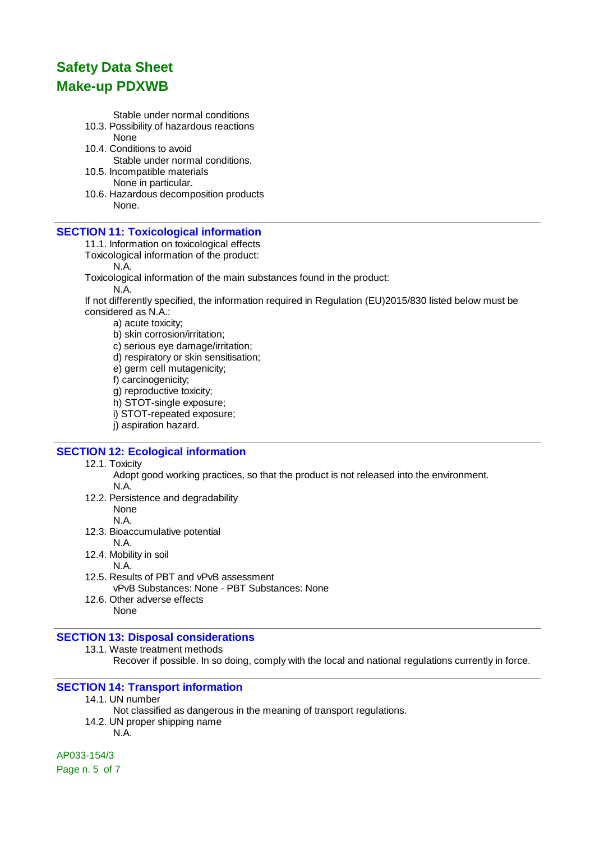Stable under normal conditions

- 10.3. Possibility of hazardous reactions None
- 10.4. Conditions to avoid
- Stable under normal conditions. 10.5. Incompatible materials
- None in particular.
- 10.6. Hazardous decomposition products None.

### **SECTION 11: Toxicological information**

11.1. Information on toxicological effects

Toxicological information of the product:

N.A.

Toxicological information of the main substances found in the product:

N.A.

If not differently specified, the information required in Regulation (EU)2015/830 listed below must be considered as N.A.:

- a) acute toxicity;
- b) skin corrosion/irritation;

c) serious eye damage/irritation;

d) respiratory or skin sensitisation;

- e) germ cell mutagenicity;
- f) carcinogenicity;
- g) reproductive toxicity;
- h) STOT-single exposure;
- i) STOT-repeated exposure;
- j) aspiration hazard.

### **SECTION 12: Ecological information**

- 12.1. Toxicity
	- Adopt good working practices, so that the product is not released into the environment. N.A.
- 12.2. Persistence and degradability

None N.A.

- 12.3. Bioaccumulative potential
- N.A.
- 12.4. Mobility in soil
	- N.A.
- 12.5. Results of PBT and vPvB assessment vPvB Substances: None - PBT Substances: None
- 12.6. Other adverse effects None

### **SECTION 13: Disposal considerations**

13.1. Waste treatment methods

Recover if possible. In so doing, comply with the local and national regulations currently in force.

## **SECTION 14: Transport information**

14.1. UN number

Not classified as dangerous in the meaning of transport regulations.

- 14.2. UN proper shipping name
	- N.A.

AP033-154/3

Page n. 5 of 7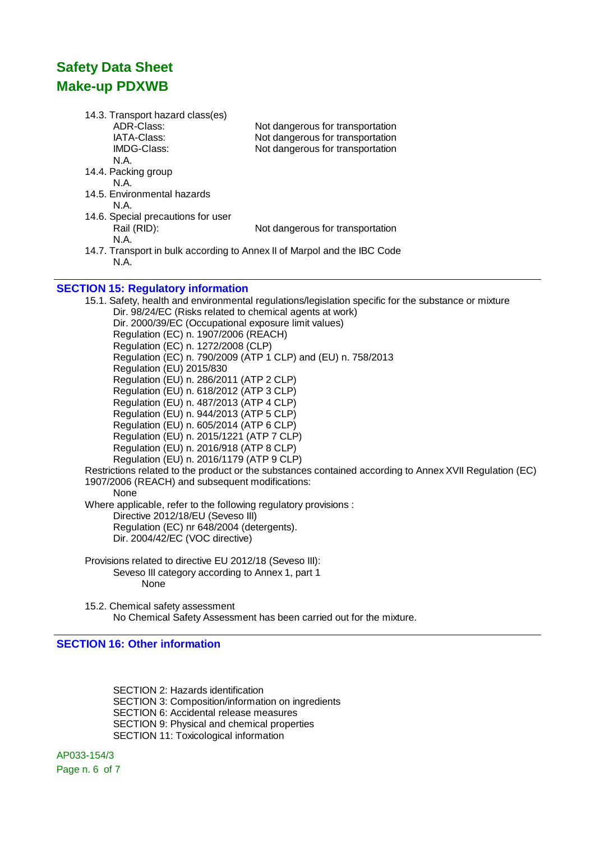14.3. Transport hazard class(es)

| ADR-Class:                                                               | Not dangerous for transportation |
|--------------------------------------------------------------------------|----------------------------------|
| IATA-Class:                                                              | Not dangerous for transportation |
| IMDG-Class:                                                              | Not dangerous for transportation |
| N.A.                                                                     |                                  |
| 14.4. Packing group                                                      |                                  |
| N A                                                                      |                                  |
| 14.5. Environmental hazards                                              |                                  |
| N A                                                                      |                                  |
| 14.6. Special precautions for user                                       |                                  |
| Rail (RID):                                                              | Not dangerous for transportation |
| N.A.                                                                     |                                  |
| 14.7. Transport in bulk according to Annex II of Marpol and the IBC Code |                                  |
| N.A.                                                                     |                                  |

### **SECTION 15: Regulatory information**

15.1. Safety, health and environmental regulations/legislation specific for the substance or mixture Dir. 98/24/EC (Risks related to chemical agents at work) Dir. 2000/39/EC (Occupational exposure limit values) Regulation (EC) n. 1907/2006 (REACH) Regulation (EC) n. 1272/2008 (CLP) Regulation (EC) n. 790/2009 (ATP 1 CLP) and (EU) n. 758/2013 Regulation (EU) 2015/830 Regulation (EU) n. 286/2011 (ATP 2 CLP) Regulation (EU) n. 618/2012 (ATP 3 CLP) Regulation (EU) n. 487/2013 (ATP 4 CLP) Regulation (EU) n. 944/2013 (ATP 5 CLP) Regulation (EU) n. 605/2014 (ATP 6 CLP) Regulation (EU) n. 2015/1221 (ATP 7 CLP) Regulation (EU) n. 2016/918 (ATP 8 CLP) Regulation (EU) n. 2016/1179 (ATP 9 CLP) Restrictions related to the product or the substances contained according to Annex XVII Regulation (EC) 1907/2006 (REACH) and subsequent modifications: None Where applicable, refer to the following regulatory provisions : Directive 2012/18/EU (Seveso III) Regulation (EC) nr 648/2004 (detergents). Dir. 2004/42/EC (VOC directive) Provisions related to directive EU 2012/18 (Seveso III): Seveso III category according to Annex 1, part 1 None

15.2. Chemical safety assessment No Chemical Safety Assessment has been carried out for the mixture.

## **SECTION 16: Other information**

SECTION 2: Hazards identification SECTION 3: Composition/information on ingredients SECTION 6: Accidental release measures SECTION 9: Physical and chemical properties SECTION 11: Toxicological information

AP033-154/3 Page n. 6 of 7